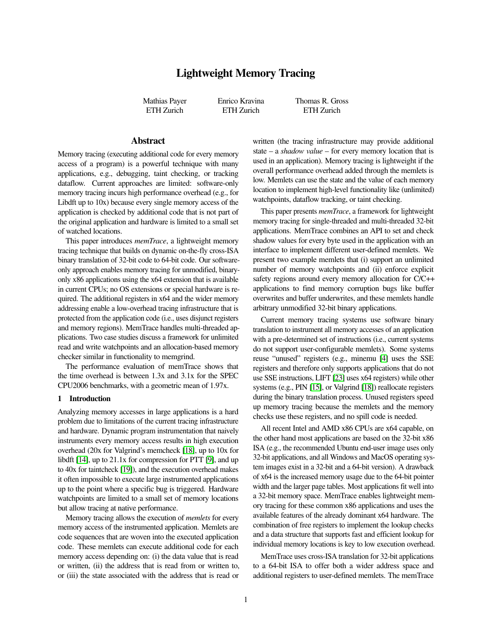# Lightweight Memory Tracing

Mathias Payer ETH Zurich

Enrico Kravina ETH Zurich

Thomas R. Gross ETH Zurich

## Abstract

Memory tracing (executing additional code for every memory access of a program) is a powerful technique with many applications, e.g., debugging, taint checking, or tracking dataflow. Current approaches are limited: software-only memory tracing incurs high performance overhead (e.g., for Libdft up to 10x) because every single memory access of the application is checked by additional code that is not part of the original application and hardware is limited to a small set of watched locations.

This paper introduces *memTrace*, a lightweight memory tracing technique that builds on dynamic on-the-fly cross-ISA binary translation of 32-bit code to 64-bit code. Our softwareonly approach enables memory tracing for unmodified, binaryonly x86 applications using the x64 extension that is available in current CPUs; no OS extensions or special hardware is required. The additional registers in x64 and the wider memory addressing enable a low-overhead tracing infrastructure that is protected from the application code (i.e., uses disjunct registers and memory regions). MemTrace handles multi-threaded applications. Two case studies discuss a framework for unlimited read and write watchpoints and an allocation-based memory checker similar in functionality to memgrind.

The performance evaluation of memTrace shows that the time overhead is between 1.3x and 3.1x for the SPEC CPU2006 benchmarks, with a geometric mean of 1.97x.

## 1 Introduction

Analyzing memory accesses in large applications is a hard problem due to limitations of the current tracing infrastructure and hardware. Dynamic program instrumentation that naively instruments every memory access results in high execution overhead (20x for Valgrind's memcheck [\[18\]](#page-11-0), up to 10x for libdft [\[14\]](#page-11-1), up to 21.1x for compression for PTT [\[9\]](#page-11-2), and up to 40x for taintcheck [\[19\]](#page-11-3)), and the execution overhead makes it often impossible to execute large instrumented applications up to the point where a specific bug is triggered. Hardware watchpoints are limited to a small set of memory locations but allow tracing at native performance.

Memory tracing allows the execution of *memlets* for every memory access of the instrumented application. Memlets are code sequences that are woven into the executed application code. These memlets can execute additional code for each memory access depending on: (i) the data value that is read or written, (ii) the address that is read from or written to, or (iii) the state associated with the address that is read or written (the tracing infrastructure may provide additional state – a *shadow value* – for every memory location that is used in an application). Memory tracing is lightweight if the overall performance overhead added through the memlets is low. Memlets can use the state and the value of each memory location to implement high-level functionality like (unlimited) watchpoints, dataflow tracking, or taint checking.

This paper presents *memTrace*, a framework for lightweight memory tracing for single-threaded and multi-threaded 32-bit applications. MemTrace combines an API to set and check shadow values for every byte used in the application with an interface to implement different user-defined memlets. We present two example memlets that (i) support an unlimited number of memory watchpoints and (ii) enforce explicit safety regions around every memory allocation for C/C++ applications to find memory corruption bugs like buffer overwrites and buffer underwrites, and these memlets handle arbitrary unmodified 32-bit binary applications.

Current memory tracing systems use software binary translation to instrument all memory accesses of an application with a pre-determined set of instructions (i.e., current systems do not support user-configurable memlets). Some systems reuse "unused" registers (e.g., minemu [\[4\]](#page-11-4) uses the SSE registers and therefore only supports applications that do not use SSE instructions, LIFT [\[23\]](#page-11-5) uses x64 registers) while other systems (e.g., PIN [\[15\]](#page-11-6), or Valgrind [\[18\]](#page-11-0)) reallocate registers during the binary translation process. Unused registers speed up memory tracing because the memlets and the memory checks use these registers, and no spill code is needed.

All recent Intel and AMD x86 CPUs are x64 capable, on the other hand most applications are based on the 32-bit x86 ISA (e.g., the recommended Ubuntu end-user image uses only 32-bit applications, and all Windows and MacOS operating system images exist in a 32-bit and a 64-bit version). A drawback of x64 is the increased memory usage due to the 64-bit pointer width and the larger page tables. Most applications fit well into a 32-bit memory space. MemTrace enables lightweight memory tracing for these common x86 applications and uses the available features of the already dominant x64 hardware. The combination of free registers to implement the lookup checks and a data structure that supports fast and efficient lookup for individual memory locations is key to low execution overhead.

MemTrace uses cross-ISA translation for 32-bit applications to a 64-bit ISA to offer both a wider address space and additional registers to user-defined memlets. The memTrace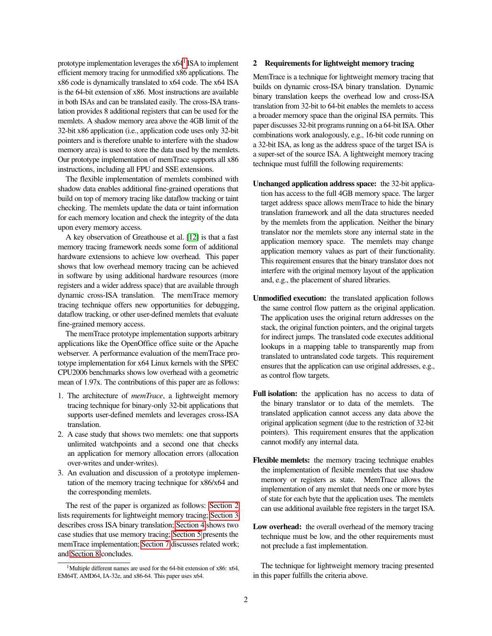prototype implementation leverages the  $x64<sup>1</sup>$  $x64<sup>1</sup>$  $x64<sup>1</sup>$  ISA to implement efficient memory tracing for unmodified x86 applications. The x86 code is dynamically translated to x64 code. The x64 ISA is the 64-bit extension of x86. Most instructions are available in both ISAs and can be translated easily. The cross-ISA translation provides 8 additional registers that can be used for the memlets. A shadow memory area above the 4GB limit of the 32-bit x86 application (i.e., application code uses only 32-bit pointers and is therefore unable to interfere with the shadow memory area) is used to store the data used by the memlets. Our prototype implementation of memTrace supports all x86 instructions, including all FPU and SSE extensions.

The flexible implementation of memlets combined with shadow data enables additional fine-grained operations that build on top of memory tracing like dataflow tracking or taint checking. The memlets update the data or taint information for each memory location and check the integrity of the data upon every memory access.

A key observation of Greathouse et al. [\[12\]](#page-11-7) is that a fast memory tracing framework needs some form of additional hardware extensions to achieve low overhead. This paper shows that low overhead memory tracing can be achieved in software by using additional hardware resources (more registers and a wider address space) that are available through dynamic cross-ISA translation. The memTrace memory tracing technique offers new opportunities for debugging, dataflow tracking, or other user-defined memlets that evaluate fine-grained memory access.

The memTrace prototype implementation supports arbitrary applications like the OpenOffice office suite or the Apache webserver. A performance evaluation of the memTrace prototype implementation for x64 Linux kernels with the SPEC CPU2006 benchmarks shows low overhead with a geometric mean of 1.97x. The contributions of this paper are as follows:

- 1. The architecture of *memTrace*, a lightweight memory tracing technique for binary-only 32-bit applications that supports user-defined memlets and leverages cross-ISA translation.
- 2. A case study that shows two memlets: one that supports unlimited watchpoints and a second one that checks an application for memory allocation errors (allocation over-writes and under-writes).
- 3. An evaluation and discussion of a prototype implementation of the memory tracing technique for x86/x64 and the corresponding memlets.

The rest of the paper is organized as follows: [Section 2](#page-1-1) lists requirements for lightweight memory tracing; [Section 3](#page-2-0) describes cross ISA binary translation; [Section 4](#page-3-0) shows two case studies that use memory tracing; [Section 5](#page-4-0) presents the memTrace implementation; [Section 7](#page-9-0) discusses related work; and [Section 8](#page-10-0) concludes.

#### <span id="page-1-1"></span>2 Requirements for lightweight memory tracing

MemTrace is a technique for lightweight memory tracing that builds on dynamic cross-ISA binary translation. Dynamic binary translation keeps the overhead low and cross-ISA translation from 32-bit to 64-bit enables the memlets to access a broader memory space than the original ISA permits. This paper discusses 32-bit programs running on a 64-bit ISA. Other combinations work analogously, e.g., 16-bit code running on a 32-bit ISA, as long as the address space of the target ISA is a super-set of the source ISA. A lightweight memory tracing technique must fulfill the following requirements:

- Unchanged application address space: the 32-bit application has access to the full 4GB memory space. The larger target address space allows memTrace to hide the binary translation framework and all the data structures needed by the memlets from the application. Neither the binary translator nor the memlets store any internal state in the application memory space. The memlets may change application memory values as part of their functionality. This requirement ensures that the binary translator does not interfere with the original memory layout of the application and, e.g., the placement of shared libraries.
- Unmodified execution: the translated application follows the same control flow pattern as the original application. The application uses the original return addresses on the stack, the original function pointers, and the original targets for indirect jumps. The translated code executes additional lookups in a mapping table to transparently map from translated to untranslated code targets. This requirement ensures that the application can use original addresses, e.g., as control flow targets.
- Full isolation: the application has no access to data of the binary translator or to data of the memlets. The translated application cannot access any data above the original application segment (due to the restriction of 32-bit pointers). This requirement ensures that the application cannot modify any internal data.
- Flexible memlets: the memory tracing technique enables the implementation of flexible memlets that use shadow memory or registers as state. MemTrace allows the implementation of any memlet that needs one or more bytes of state for each byte that the application uses. The memlets can use additional available free registers in the target ISA.
- Low overhead: the overall overhead of the memory tracing technique must be low, and the other requirements must not preclude a fast implementation.

The technique for lightweight memory tracing presented in this paper fulfills the criteria above.

<span id="page-1-0"></span><sup>&</sup>lt;sup>1</sup>Multiple different names are used for the 64-bit extension of x86: x64, EM64T, AMD64, IA-32e, and x86-64. This paper uses x64.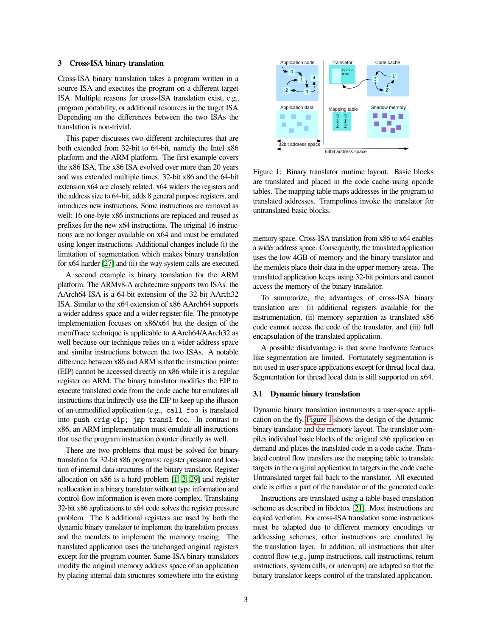#### <span id="page-2-0"></span>3 Cross-ISA binary translation

Cross-ISA binary translation takes a program written in a source ISA and executes the program on a different target ISA. Multiple reasons for cross-ISA translation exist, e.g., program portability, or additional resources in the target ISA. Depending on the differences between the two ISAs the translation is non-trivial.

This paper discusses two different architectures that are both extended from 32-bit to 64-bit, namely the Intel x86 platform and the ARM platform. The first example covers the x86 ISA. The x86 ISA evolved over more than 20 years and was extended multiple times. 32-bit x86 and the 64-bit extension x64 are closely related. x64 widens the registers and the address size to 64-bit, adds 8 general purpose registers, and introduces new instructions. Some instructions are removed as well: 16 one-byte x86 instructions are replaced and reused as prefixes for the new x64 instructions. The original 16 instructions are no longer available on x64 and must be emulated using longer instructions. Additional changes include (i) the limitation of segmentation which makes binary translation for x64 harder [\[27\]](#page-11-8) and (ii) the way system calls are executed.

A second example is binary translation for the ARM platform. The ARMv8-A architecture supports two ISAs: the AArch64 ISA is a 64-bit extension of the 32-bit AArch32 ISA. Similar to the x64 extension of x86 AArch64 supports a wider address space and a wider register file. The prototype implementation focuses on x86/x64 but the design of the memTrace technique is applicable to AArch64/AArch32 as well because our technique relies on a wider address space and similar instructions between the two ISAs. A notable difference between x86 and ARM is that the instruction pointer (EIP) cannot be accessed directly on x86 while it is a regular register on ARM. The binary translator modifies the EIP to execute translated code from the code cache but emulates all instructions that indirectly use the EIP to keep up the illusion of an unmodified application (e.g., call foo is translated into push orig eip; jmp transl foo. In contrast to x86, an ARM implementation must emulate all instructions that use the program instruction counter directly as well.

There are two problems that must be solved for binary translation for 32-bit x86 programs: register pressure and location of internal data structures of the binary translator. Register allocation on x86 is a hard problem [\[1,](#page-11-9) [2,](#page-11-10) [29\]](#page-11-11) and register reallocation in a binary translator without type information and control-flow information is even more complex. Translating 32-bit x86 applications to x64 code solves the register pressure problem. The 8 additional registers are used by both the dynamic binary translator to implement the translation process and the memlets to implement the memory tracing. The translated application uses the unchanged original registers except for the program counter. Same-ISA binary translators modify the original memory address space of an application by placing internal data structures somewhere into the existing



<span id="page-2-1"></span>Figure 1: Binary translator runtime layout. Basic blocks are translated and placed in the code cache using opcode tables. The mapping table maps addresses in the program to translated addresses. Trampolines invoke the translator for untranslated basic blocks.

memory space. Cross-ISA translation from x86 to x64 enables a wider address space. Consequently, the translated application uses the low 4GB of memory and the binary translator and the memlets place their data in the upper memory areas. The translated application keeps using 32-bit pointers and cannot access the memory of the binary translator.

To summarize, the advantages of cross-ISA binary translation are: (i) additional registers available for the instrumentation, (ii) memory separation as translated x86 code cannot access the code of the translator, and (iii) full encapsulation of the translated application.

A possible disadvantage is that some hardware features like segmentation are limited. Fortunately segmentation is not used in user-space applications except for thread local data. Segmentation for thread local data is still supported on x64.

## 3.1 Dynamic binary translation

Dynamic binary translation instruments a user-space application on the fly. [Figure 1](#page-2-1) shows the design of the dynamic binary translator and the memory layout. The translator compiles individual basic blocks of the original x86 application on demand and places the translated code in a code cache. Translated control flow transfers use the mapping table to translate targets in the original application to targets in the code cache. Untranslated target fall back to the translator. All executed code is either a part of the translator or of the generated code.

Instructions are translated using a table-based translation scheme as described in libdetox [\[21\]](#page-11-12). Most instructions are copied verbatim. For cross-ISA translation some instructions must be adapted due to different memory encodings or addressing schemes, other instructions are emulated by the translation layer. In addition, all instructions that alter control flow (e.g., jump instructions, call instructions, return instructions, system calls, or interrupts) are adapted so that the binary translator keeps control of the translated application.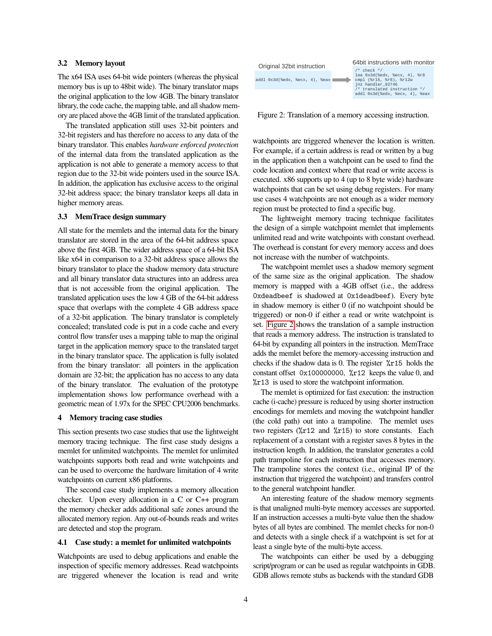#### 3.2 Memory layout

The x64 ISA uses 64-bit wide pointers (whereas the physical memory bus is up to 48bit wide). The binary translator maps the original application to the low 4GB. The binary translator library, the code cache, the mapping table, and all shadow memory are placed above the 4GB limit of the translated application.

The translated application still uses 32-bit pointers and 32-bit registers and has therefore no access to any data of the binary translator. This enables *hardware enforced protection* of the internal data from the translated application as the application is not able to generate a memory access to that region due to the 32-bit wide pointers used in the source ISA. In addition, the application has exclusive access to the original 32-bit address space; the binary translator keeps all data in higher memory areas.

## 3.3 MemTrace design summary

All state for the memlets and the internal data for the binary translator are stored in the area of the 64-bit address space above the first 4GB. The wider address space of a 64-bit ISA like x64 in comparison to a 32-bit address space allows the binary translator to place the shadow memory data structure and all binary translator data structures into an address area that is not accessible from the original application. The translated application uses the low 4 GB of the 64-bit address space that overlaps with the complete 4 GB address space of a 32-bit application. The binary translator is completely concealed; translated code is put in a code cache and every control flow transfer uses a mapping table to map the original target in the application memory space to the translated target in the binary translator space. The application is fully isolated from the binary translator: all pointers in the application domain are 32-bit; the application has no access to any data of the binary translator. The evaluation of the prototype implementation shows low performance overhead with a geometric mean of 1.97x for the SPEC CPU2006 benchmarks.

## <span id="page-3-0"></span>4 Memory tracing case studies

This section presents two case studies that use the lightweight memory tracing technique. The first case study designs a memlet for unlimited watchpoints. The memlet for unlimited watchpoints supports both read and write watchpoints and can be used to overcome the hardware limitation of 4 write watchpoints on current x86 platforms.

The second case study implements a memory allocation checker. Upon every allocation in a C or C++ program the memory checker adds additional safe zones around the allocated memory region. Any out-of-bounds reads and writes are detected and stop the program.

#### 4.1 Case study: a memlet for unlimited watchpoints

Watchpoints are used to debug applications and enable the inspection of specific memory addresses. Read watchpoints are triggered whenever the location is read and write



<span id="page-3-1"></span>Figure 2: Translation of a memory accessing instruction.

watchpoints are triggered whenever the location is written. For example, if a certain address is read or written by a bug in the application then a watchpoint can be used to find the code location and context where that read or write access is executed. x86 supports up to 4 (up to 8 byte wide) hardware watchpoints that can be set using debug registers. For many use cases 4 watchpoints are not enough as a wider memory region must be protected to find a specific bug.

The lightweight memory tracing technique facilitates the design of a simple watchpoint memlet that implements unlimited read and write watchpoints with constant overhead. The overhead is constant for every memory access and does not increase with the number of watchpoints.

The watchpoint memlet uses a shadow memory segment of the same size as the original application. The shadow memory is mapped with a 4GB offset (i.e., the address 0xdeadbeef is shadowed at 0x1deadbeef). Every byte in shadow memory is either 0 (if no watchpoint should be triggered) or non-0 if either a read or write watchpoint is set. [Figure 2](#page-3-1) shows the translation of a sample instruction that reads a memory address. The instruction is translated to 64-bit by expanding all pointers in the instruction. MemTrace adds the memlet before the memory-accessing instruction and checks if the shadow data is 0. The register %r15 holds the constant offset  $0x100000000$ ,  $\frac{9}{x}$  r12 keeps the value 0, and %r13 is used to store the watchpoint information.

The memlet is optimized for fast execution: the instruction cache (i-cache) pressure is reduced by using shorter instruction encodings for memlets and moving the watchpoint handler (the cold path) out into a trampoline. The memlet uses two registers (%r12 and %r15) to store constants. Each replacement of a constant with a register saves 8 bytes in the instruction length. In addition, the translator generates a cold path trampoline for each instruction that accesses memory. The trampoline stores the context (i.e., original IP of the instruction that triggered the watchpoint) and transfers control to the general watchpoint handler.

An interesting feature of the shadow memory segments is that unaligned multi-byte memory accesses are supported. If an instruction accesses a multi-byte value then the shadow bytes of all bytes are combined. The memlet checks for non-0 and detects with a single check if a watchpoint is set for at least a single byte of the multi-byte access.

The watchpoints can either be used by a debugging script/program or can be used as regular watchpoints in GDB. GDB allows remote stubs as backends with the standard GDB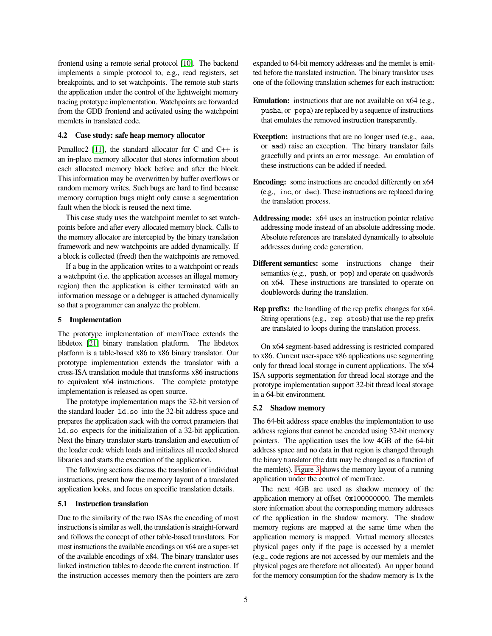frontend using a remote serial protocol [\[10\]](#page-11-13). The backend implements a simple protocol to, e.g., read registers, set breakpoints, and to set watchpoints. The remote stub starts the application under the control of the lightweight memory tracing prototype implementation. Watchpoints are forwarded from the GDB frontend and activated using the watchpoint memlets in translated code.

#### 4.2 Case study: safe heap memory allocator

Ptmalloc2 [\[11\]](#page-11-14), the standard allocator for C and C++ is an in-place memory allocator that stores information about each allocated memory block before and after the block. This information may be overwritten by buffer overflows or random memory writes. Such bugs are hard to find because memory corruption bugs might only cause a segmentation fault when the block is reused the next time.

This case study uses the watchpoint memlet to set watchpoints before and after every allocated memory block. Calls to the memory allocator are intercepted by the binary translation framework and new watchpoints are added dynamically. If a block is collected (freed) then the watchpoints are removed.

If a bug in the application writes to a watchpoint or reads a watchpoint (i.e. the application accesses an illegal memory region) then the application is either terminated with an information message or a debugger is attached dynamically so that a programmer can analyze the problem.

#### <span id="page-4-0"></span>5 Implementation

The prototype implementation of memTrace extends the libdetox [\[21\]](#page-11-12) binary translation platform. The libdetox platform is a table-based x86 to x86 binary translator. Our prototype implementation extends the translator with a cross-ISA translation module that transforms x86 instructions to equivalent x64 instructions. The complete prototype implementation is released as open source.

The prototype implementation maps the 32-bit version of the standard loader ld.so into the 32-bit address space and prepares the application stack with the correct parameters that ld.so expects for the initialization of a 32-bit application. Next the binary translator starts translation and execution of the loader code which loads and initializes all needed shared libraries and starts the execution of the application.

The following sections discuss the translation of individual instructions, present how the memory layout of a translated application looks, and focus on specific translation details.

## 5.1 Instruction translation

Due to the similarity of the two ISAs the encoding of most instructions is similar as well, the translation is straight-forward and follows the concept of other table-based translators. For most instructions the available encodings on x64 are a super-set of the available encodings of x84. The binary translator uses linked instruction tables to decode the current instruction. If the instruction accesses memory then the pointers are zero expanded to 64-bit memory addresses and the memlet is emitted before the translated instruction. The binary translator uses one of the following translation schemes for each instruction:

- Emulation: instructions that are not available on x64 (e.g., pusha, or popa) are replaced by a sequence of instructions that emulates the removed instruction transparently.
- Exception: instructions that are no longer used (e.g., aaa, or aad) raise an exception. The binary translator fails gracefully and prints an error message. An emulation of these instructions can be added if needed.
- Encoding: some instructions are encoded differently on x64 (e.g., inc, or dec). These instructions are replaced during the translation process.
- Addressing mode: x64 uses an instruction pointer relative addressing mode instead of an absolute addressing mode. Absolute references are translated dynamically to absolute addresses during code generation.
- Different semantics: some instructions change their semantics (e.g., push, or pop) and operate on quadwords on x64. These instructions are translated to operate on doublewords during the translation.
- Rep prefix: the handling of the rep prefix changes for x64. String operations (e.g., rep stosb) that use the rep prefix are translated to loops during the translation process.

On x64 segment-based addressing is restricted compared to x86. Current user-space x86 applications use segmenting only for thread local storage in current applications. The x64 ISA supports segmentation for thread local storage and the prototype implementation support 32-bit thread local storage in a 64-bit environment.

#### 5.2 Shadow memory

The 64-bit address space enables the implementation to use address regions that cannot be encoded using 32-bit memory pointers. The application uses the low 4GB of the 64-bit address space and no data in that region is changed through the binary translator (the data may be changed as a function of the memlets). [Figure 3](#page-5-0) shows the memory layout of a running application under the control of memTrace.

The next 4GB are used as shadow memory of the application memory at offset 0x100000000. The memlets store information about the corresponding memory addresses of the application in the shadow memory. The shadow memory regions are mapped at the same time when the application memory is mapped. Virtual memory allocates physical pages only if the page is accessed by a memlet (e.g., code regions are not accessed by our memlets and the physical pages are therefore not allocated). An upper bound for the memory consumption for the shadow memory is 1x the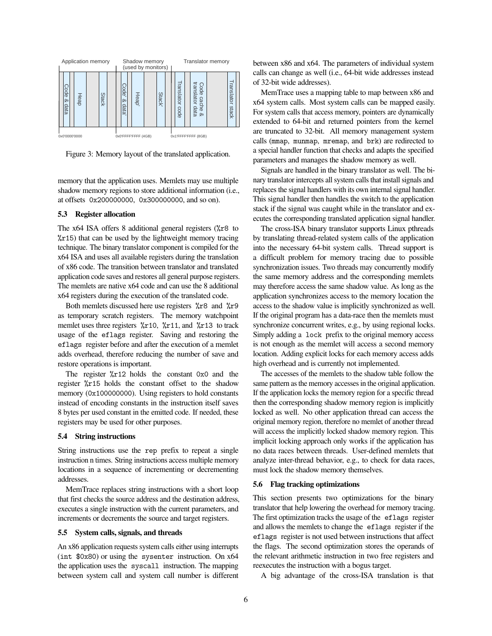

<span id="page-5-0"></span>Figure 3: Memory layout of the translated application.

memory that the application uses. Memlets may use multiple shadow memory regions to store additional information (i.e., at offsets 0x200000000, 0x300000000, and so on).

## 5.3 Register allocation

The x64 ISA offers 8 additional general registers (%r8 to  $x15$ ) that can be used by the lightweight memory tracing technique. The binary translator component is compiled for the x64 ISA and uses all available registers during the translation of x86 code. The transition between translator and translated application code saves and restores all general purpose registers. The memlets are native x64 code and can use the 8 additional x64 registers during the execution of the translated code.

Both memlets discussed here use registers  $\frac{9}{6}r8$  and  $\frac{9}{6}r9$ as temporary scratch registers. The memory watchpoint memlet uses three registers  $\frac{\pi}{10}$ ,  $\frac{\pi}{11}$ , and  $\frac{\pi}{13}$  to track usage of the eflags register. Saving and restoring the eflags register before and after the execution of a memlet adds overhead, therefore reducing the number of save and restore operations is important.

The register %r12 holds the constant 0x0 and the register %r15 holds the constant offset to the shadow memory (0x100000000). Using registers to hold constants instead of encoding constants in the instruction itself saves 8 bytes per used constant in the emitted code. If needed, these registers may be used for other purposes.

## 5.4 String instructions

String instructions use the rep prefix to repeat a single instruction n times. String instructions access multiple memory locations in a sequence of incrementing or decrementing addresses.

MemTrace replaces string instructions with a short loop that first checks the source address and the destination address, executes a single instruction with the current parameters, and increments or decrements the source and target registers.

## 5.5 System calls, signals, and threads

An x86 application requests system calls either using interrupts (int \$0x80) or using the sysenter instruction. On x64 the application uses the syscall instruction. The mapping between system call and system call number is different between x86 and x64. The parameters of individual system calls can change as well (i.e., 64-bit wide addresses instead of 32-bit wide addresses).

MemTrace uses a mapping table to map between x86 and x64 system calls. Most system calls can be mapped easily. For system calls that access memory, pointers are dynamically extended to 64-bit and returned pointers from the kernel are truncated to 32-bit. All memory management system calls (mmap, munmap, mremap, and brk) are redirected to a special handler function that checks and adapts the specified parameters and manages the shadow memory as well.

Signals are handled in the binary translator as well. The binary translator intercepts all system calls that install signals and replaces the signal handlers with its own internal signal handler. This signal handler then handles the switch to the application stack if the signal was caught while in the translator and executes the corresponding translated application signal handler.

The cross-ISA binary translator supports Linux pthreads by translating thread-related system calls of the application into the necessary 64-bit system calls. Thread support is a difficult problem for memory tracing due to possible synchronization issues. Two threads may concurrently modify the same memory address and the corresponding memlets may therefore access the same shadow value. As long as the application synchronizes access to the memory location the access to the shadow value is implicitly synchronized as well. If the original program has a data-race then the memlets must synchronize concurrent writes, e.g., by using regional locks. Simply adding a lock prefix to the original memory access is not enough as the memlet will access a second memory location. Adding explicit locks for each memory access adds high overhead and is currently not implemented.

The accesses of the memlets to the shadow table follow the same pattern as the memory accesses in the original application. If the application locks the memory region for a specific thread then the corresponding shadow memory region is implicitly locked as well. No other application thread can access the original memory region, therefore no memlet of another thread will access the implicitly locked shadow memory region. This implicit locking approach only works if the application has no data races between threads. User-defined memlets that analyze inter-thread behavior, e.g., to check for data races, must lock the shadow memory themselves.

#### <span id="page-5-1"></span>5.6 Flag tracking optimizations

This section presents two optimizations for the binary translator that help lowering the overhead for memory tracing. The first optimization tracks the usage of the eflags register and allows the memlets to change the eflags register if the eflags register is not used between instructions that affect the flags. The second optimization stores the operands of the relevant arithmetic instruction in two free registers and reexecutes the instruction with a bogus target.

A big advantage of the cross-ISA translation is that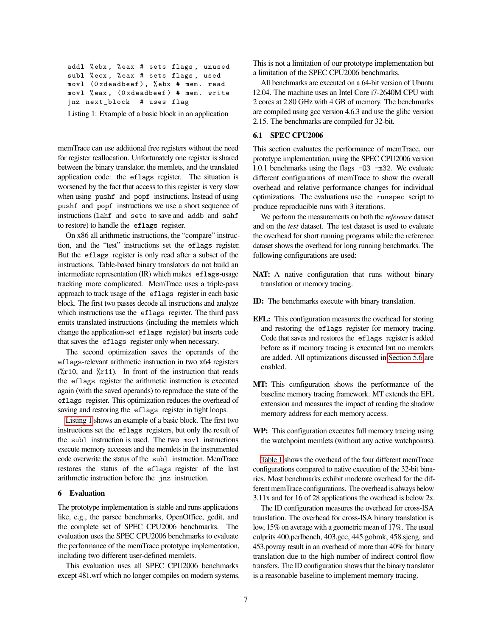```
addl % ebx , % eax # sets flags , unused
subl % ecx , % eax # sets flags , used
movl (0 xdeadbeef ) , % ebx # mem . read
movl % eax , (0 xdeadbeef ) # mem . write
jnz next_block # uses flag
```
Listing 1: Example of a basic block in an application

memTrace can use additional free registers without the need for register reallocation. Unfortunately one register is shared between the binary translator, the memlets, and the translated application code: the eflags register. The situation is worsened by the fact that access to this register is very slow when using pushf and popf instructions. Instead of using pushf and popf instructions we use a short sequence of instructions (lahf and seto to save and addb and sahf to restore) to handle the eflags register.

On x86 all arithmetic instructions, the "compare" instruction, and the "test" instructions set the eflags register. But the eflags register is only read after a subset of the instructions. Table-based binary translators do not build an intermediate representation (IR) which makes eflags-usage tracking more complicated. MemTrace uses a triple-pass approach to track usage of the eflags register in each basic block. The first two passes decode all instructions and analyze which instructions use the eflags register. The third pass emits translated instructions (including the memlets which change the application-set eflags register) but inserts code that saves the eflags register only when necessary.

The second optimization saves the operands of the eflags-relevant arithmetic instruction in two x64 registers ( $\sqrt{k}$ 10, and  $\sqrt{k}$ 11). In front of the instruction that reads the eflags register the arithmetic instruction is executed again (with the saved operands) to reproduce the state of the eflags register. This optimization reduces the overhead of saving and restoring the eflags register in tight loops.

[Listing 1](#page-6-0) shows an example of a basic block. The first two instructions set the eflags registers, but only the result of the subl instruction is used. The two movl instructions execute memory accesses and the memlets in the instrumented code overwrite the status of the subl instruction. MemTrace restores the status of the eflags register of the last arithmetic instruction before the jnz instruction.

#### 6 Evaluation

The prototype implementation is stable and runs applications like, e.g., the parsec benchmarks, OpenOffice, gedit, and the complete set of SPEC CPU2006 benchmarks. The evaluation uses the SPEC CPU2006 benchmarks to evaluate the performance of the memTrace prototype implementation, including two different user-defined memlets.

This evaluation uses all SPEC CPU2006 benchmarks except 481.wrf which no longer compiles on modern systems. This is not a limitation of our prototype implementation but a limitation of the SPEC CPU2006 benchmarks.

All benchmarks are executed on a 64-bit version of Ubuntu 12.04. The machine uses an Intel Core i7-2640M CPU with 2 cores at 2.80 GHz with 4 GB of memory. The benchmarks are compiled using gcc version 4.6.3 and use the glibc version 2.15. The benchmarks are compiled for 32-bit.

#### <span id="page-6-1"></span>6.1 SPEC CPU2006

This section evaluates the performance of memTrace, our prototype implementation, using the SPEC CPU2006 version 1.0.1 benchmarks using the flags -O3 -m32. We evaluate different configurations of memTrace to show the overall overhead and relative performance changes for individual optimizations. The evaluations use the runspec script to produce reproducible runs with 3 iterations.

We perform the measurements on both the *reference* dataset and on the *test* dataset. The test dataset is used to evaluate the overhead for short running programs while the reference dataset shows the overhead for long running benchmarks. The following configurations are used:

- NAT: A native configuration that runs without binary translation or memory tracing.
- ID: The benchmarks execute with binary translation.
- EFL: This configuration measures the overhead for storing and restoring the eflags register for memory tracing. Code that saves and restores the eflags register is added before as if memory tracing is executed but no memlets are added. All optimizations discussed in [Section 5.6](#page-5-1) are enabled.
- MT: This configuration shows the performance of the baseline memory tracing framework. MT extends the EFL extension and measures the impact of reading the shadow memory address for each memory access.
- WP: This configuration executes full memory tracing using the watchpoint memlets (without any active watchpoints).

[Table 1](#page-7-0) shows the overhead of the four different memTrace configurations compared to native execution of the 32-bit binaries. Most benchmarks exhibit moderate overhead for the different memTrace configurations. The overhead is always below 3.11x and for 16 of 28 applications the overhead is below 2x.

The ID configuration measures the overhead for cross-ISA translation. The overhead for cross-ISA binary translation is low, 15% on average with a geometric mean of 17%. The usual culprits 400.perlbench, 403.gcc, 445.gobmk, 458.sjeng, and 453.povray result in an overhead of more than 40% for binary translation due to the high number of indirect control flow transfers. The ID configuration shows that the binary translator is a reasonable baseline to implement memory tracing.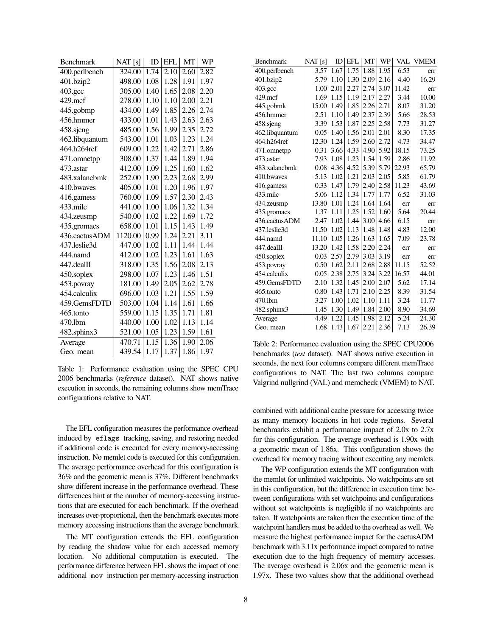| <b>Benchmark</b> | NAT[s]  | ID   | EFL  | <b>MT</b> | <b>WP</b> |
|------------------|---------|------|------|-----------|-----------|
| 400.perlbench    | 324.00  | 1.74 | 2.10 | 2.60      | 2.82      |
| 401.bzip2        | 498.00  | 1.08 | 1.28 | 1.91      | 1.97      |
| 403.gcc          | 305.00  | 1.40 | 1.65 | 2.08      | 2.20      |
| 429.mcf          | 278.00  | 1.10 | 1.10 | 2.00      | 2.21      |
| 445.gobmp        | 434.00  | 1.49 | 1.85 | 2.26      | 2.74      |
| 456.hmmer        | 433.00  | 1.01 | 1.43 | 2.63      | 2.63      |
| 458.sjeng        | 485.00  | 1.56 | 1.99 | 2.35      | 2.72      |
| 462.libquantum   | 543.00  | 1.01 | 1.03 | 1.23      | 1.24      |
| 464.h264ref      | 609.00  | 1.22 | 1.42 | 2.71      | 2.86      |
| 471.omnetpp      | 308.00  | 1.37 | 1.44 | 1.89      | 1.94      |
| 473.astar        | 412.00  | 1.09 | 1.25 | 1.60      | 1.62      |
| 483.xalancbmk    | 252.00  | 1.90 | 2.23 | 2.68      | 2.99      |
| 410.bwaves       | 405.00  | 1.01 | 1.20 | 1.96      | 1.97      |
| 416.gamess       | 760.00  | 1.09 | 1.57 | 2.30      | 2.43      |
| 433.milc         | 441.00  | 1.00 | 1.06 | 1.32      | 1.34      |
| 434.zeusmp       | 540.00  | 1.02 | 1.22 | 1.69      | 1.72      |
| 435.gromacs      | 658.00  | 1.01 | 1.15 | 1.43      | 1.49      |
| 436.cactusADM    | 1120.00 | 0.99 | 1.24 | 2.21      | 3.11      |
| 437.leslie3d     | 447.00  | 1.02 | 1.11 | 1.44      | 1.44      |
| 444.namd         | 412.00  | 1.02 | 1.23 | 1.61      | 1.63      |
| 447.dealII       | 318.00  | 1.35 | 1.56 | 2.08      | 2.13      |
| 450.soplex       | 298.00  | 1.07 | 1.23 | 1.46      | 1.51      |
| 453.povray       | 181.00  | 1.49 | 2.05 | 2.62      | 2.78      |
| 454.calculix     | 696.00  | 1.03 | 1.21 | 1.55      | 1.59      |
| 459.GemsFDTD     | 503.00  | 1.04 | 1.14 | 1.61      | 1.66      |
| 465.tonto        | 559.00  | 1.15 | 1.35 | 1.71      | 1.81      |
| 470.1bm          | 440.00  | 1.00 | 1.02 | 1.13      | 1.14      |
| 482.sphinx3      | 521.00  | 1.05 | 1.23 | 1.59      | 1.61      |
| Average          | 470.71  | 1.15 | 1.36 | 1.90      | 2.06      |
| Geo. mean        | 439.54  | 1.17 | 1.37 | 1.86      | 1.97      |

<span id="page-7-0"></span>Table 1: Performance evaluation using the SPEC CPU 2006 benchmarks (*reference* dataset). NAT shows native execution in seconds, the remaining columns show memTrace configurations relative to NAT.

The EFL configuration measures the performance overhead induced by eflags tracking, saving, and restoring needed if additional code is executed for every memory-accessing instruction. No memlet code is executed for this configuration. The average performance overhead for this configuration is 36% and the geometric mean is 37%. Different benchmarks show different increase in the performance overhead. These differences hint at the number of memory-accessing instructions that are executed for each benchmark. If the overhead increases over-proportional, then the benchmark executes more memory accessing instructions than the average benchmark.

The MT configuration extends the EFL configuration by reading the shadow value for each accessed memory location. No additional computation is executed. The performance difference between EFL shows the impact of one additional mov instruction per memory-accessing instruction

| Benchmark      | NAT $[s]$ |      | $ID$ $EFL$ | MT   | WP   |       | <b>VAL VMEM</b> |
|----------------|-----------|------|------------|------|------|-------|-----------------|
| 400.perlbench  | 3.57      | 1.67 | 1.75       | 1.88 | 1.95 | 6.53  | err             |
| 401.bzip2      | 5.79      | 1.10 | 1.30       | 2.09 | 2.16 | 4.40  | 16.29           |
| 403.gcc        | 1.00      | 2.01 | 2.27       | 2.74 | 3.07 | 11.42 | err             |
| 429.mcf        | 1.69      | 1.15 | 1.19       | 2.17 | 2.27 | 3.44  | 10.00           |
| 445.gobmk      | 15.00     | 1.49 | 1.85       | 2.26 | 2.71 | 8.07  | 31.20           |
| 456.hmmer      | 2.51      | 1.10 | 1.49       | 2.37 | 2.39 | 5.66  | 28.53           |
| 458.sjeng      | 3.39      | 1.53 | 1.87       | 2.25 | 2.58 | 7.73  | 31.27           |
| 462.libquantum | 0.05      | 1.40 | 1.56       | 2.01 | 2.01 | 8.30  | 17.35           |
| 464.h264ref    | 12.30     | 1.24 | 1.59       | 2.60 | 2.72 | 4.73  | 34.47           |
| 471.omnetpp    | 0.31      | 3.66 | 4.33       | 4.90 | 5.92 | 18.15 | 73.25           |
| 473.astar      | 7.93      | 1.08 | 1.23       | 1.54 | 1.59 | 2.86  | 11.92           |
| 483.xalancbmk  | 0.08      | 4.36 | 4.52       | 5.39 | 5.79 | 22.93 | 65.79           |
| 410.bwaves     | 5.13      | 1.02 | 1.21       | 2.03 | 2.05 | 5.85  | 61.79           |
| 416.gamess     | 0.33      | 1.47 | 1.79       | 2.40 | 2.58 | 11.23 | 43.69           |
| 433.milc       | 5.06      | 1.12 | 1.34       | 1.77 | 1.77 | 6.52  | 31.03           |
| 434.zeusmp     | 13.80     | 1.01 | 1.24       | 1.64 | 1.64 | err   | err             |
| 435.gromacs    | 1.37      | 1.11 | 1.25       | 1.52 | 1.60 | 5.64  | 20.44           |
| 436.cactusADM  | 2.47      | 1.02 | 1.44       | 3.00 | 4.66 | 6.15  | err             |
| 437.leslie3d   | 11.50     | 1.02 | 1.13       | 1.48 | 1.48 | 4.83  | 12.00           |
| 444.namd       | 11.10     | 1.05 | 1.26       | 1.63 | 1.65 | 7.09  | 23.78           |
| 447.dealII     | 13.20     | 1.42 | 1.58       | 2.20 | 2.24 | err   | err             |
| 450.soplex     | 0.03      | 2.57 | 2.79       | 3.03 | 3.19 | err   | err             |
| 453.povray     | 0.50      | 1.62 | 2.11       | 2.68 | 2.88 | 11.15 | 52.52           |
| 454.calculix   | 0.05      | 2.38 | 2.75       | 3.24 | 3.22 | 16.57 | 44.01           |
| 459.GemsFDTD   | 2.10      | 1.32 | 1.45       | 2.00 | 2.07 | 5.62  | 17.14           |
| 465.tonto      | 0.80      | 1.43 | 1.71       | 2.10 | 2.25 | 8.39  | 31.54           |
| 470.lbm        | 3.27      | 1.00 | 1.02       | 1.10 | 1.11 | 3.24  | 11.77           |
| 482.sphinx3    | 1.45      | 1.30 | 1.49       | 1.84 | 2.00 | 8.90  | 34.69           |
| Average        | 4.49      | 1.22 | 1.45       | 1.98 | 2.12 | 5.24  | 24.30           |
| Geo. mean      | 1.68      | 1.43 | 1.67       | 2.21 | 2.36 | 7.13  | 26.39           |
|                |           |      |            |      |      |       |                 |

<span id="page-7-1"></span>Table 2: Performance evaluation using the SPEC CPU2006 benchmarks (*test* dataset). NAT shows native execution in seconds, the next four columns compare different memTrace configurations to NAT. The last two columns compare Valgrind nullgrind (VAL) and memcheck (VMEM) to NAT.

combined with additional cache pressure for accessing twice as many memory locations in hot code regions. Several benchmarks exhibit a performance impact of 2.0x to 2.7x for this configuration. The average overhead is 1.90x with a geometric mean of 1.86x. This configuration shows the overhead for memory tracing without executing any memlets.

The WP configuration extends the MT configuration with the memlet for unlimited watchpoints. No watchpoints are set in this configuration, but the difference in execution time between configurations with set watchpoints and configurations without set watchpoints is negligible if no watchpoints are taken. If watchpoints are taken then the execution time of the watchpoint handlers must be added to the overhead as well. We measure the highest performance impact for the cactusADM benchmark with 3.11x performance impact compared to native execution due to the high frequency of memory accesses. The average overhead is 2.06x and the geometric mean is 1.97x. These two values show that the additional overhead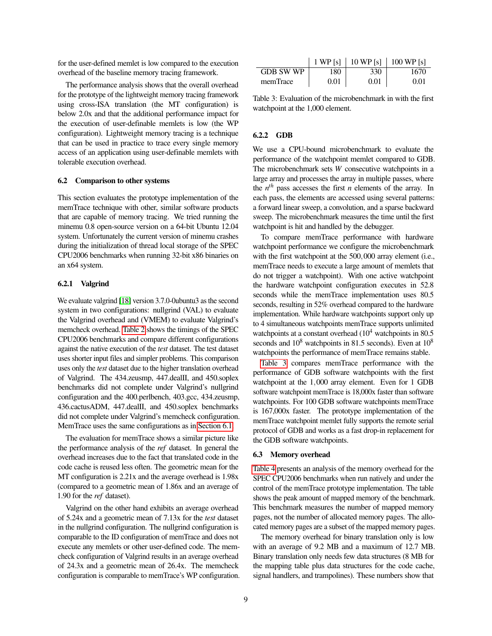for the user-defined memlet is low compared to the execution overhead of the baseline memory tracing framework.

The performance analysis shows that the overall overhead for the prototype of the lightweight memory tracing framework using cross-ISA translation (the MT configuration) is below 2.0x and that the additional performance impact for the execution of user-definable memlets is low (the WP configuration). Lightweight memory tracing is a technique that can be used in practice to trace every single memory access of an application using user-definable memlets with tolerable execution overhead.

## 6.2 Comparison to other systems

This section evaluates the prototype implementation of the memTrace technique with other, similar software products that are capable of memory tracing. We tried running the minemu 0.8 open-source version on a 64-bit Ubuntu 12.04 system. Unfortunately the current version of minemu crashes during the initialization of thread local storage of the SPEC CPU2006 benchmarks when running 32-bit x86 binaries on an x64 system.

### 6.2.1 Valgrind

We evaluate valgrind [\[18\]](#page-11-0) version 3.7.0-0ubuntu3 as the second system in two configurations: nullgrind (VAL) to evaluate the Valgrind overhead and (VMEM) to evaluate Valgrind's memcheck overhead. [Table 2](#page-7-1) shows the timings of the SPEC CPU2006 benchmarks and compare different configurations against the native execution of the *test* dataset. The test dataset uses shorter input files and simpler problems. This comparison uses only the *test* dataset due to the higher translation overhead of Valgrind. The 434.zeusmp, 447.dealII, and 450.soplex benchmarks did not complete under Valgrind's nullgrind configuration and the 400.perlbench, 403.gcc, 434.zeusmp, 436.cactusADM, 447.dealII, and 450.soplex benchmarks did not complete under Valgrind's memcheck configuration. MemTrace uses the same configurations as in [Section 6.1.](#page-6-1)

The evaluation for memTrace shows a similar picture like the performance analysis of the *ref* dataset. In general the overhead increases due to the fact that translated code in the code cache is reused less often. The geometric mean for the MT configuration is 2.21x and the average overhead is 1.98x (compared to a geometric mean of 1.86x and an average of 1.90 for the *ref* dataset).

Valgrind on the other hand exhibits an average overhead of 5.24x and a geometric mean of 7.13x for the *test* dataset in the nullgrind configuration. The nullgrind configuration is comparable to the ID configuration of memTrace and does not execute any memlets or other user-defined code. The memcheck configuration of Valgrind results in an average overhead of 24.3x and a geometric mean of 26.4x. The memcheck configuration is comparable to memTrace's WP configuration.

|                  |      | 1 WP [s]   10 WP [s]   100 WP [s] |      |
|------------------|------|-----------------------------------|------|
| <b>GDB SW WP</b> | 180  | 330                               | 1670 |
| memTrace         | 0.01 | 0.01                              | 0.01 |

<span id="page-8-0"></span>Table 3: Evaluation of the microbenchmark in with the first watchpoint at the 1,000 element.

#### 6.2.2 GDB

We use a CPU-bound microbenchmark to evaluate the performance of the watchpoint memlet compared to GDB. The microbenchmark sets *W* consecutive watchpoints in a large array and processes the array in multiple passes, where the  $n<sup>th</sup>$  pass accesses the first *n* elements of the array. In each pass, the elements are accessed using several patterns: a forward linear sweep, a convolution, and a sparse backward sweep. The microbenchmark measures the time until the first watchpoint is hit and handled by the debugger.

To compare memTrace performance with hardware watchpoint performance we configure the microbenchmark with the first watchpoint at the 500,000 array element (i.e., memTrace needs to execute a large amount of memlets that do not trigger a watchpoint). With one active watchpoint the hardware watchpoint configuration executes in 52.8 seconds while the memTrace implementation uses 80.5 seconds, resulting in 52% overhead compared to the hardware implementation. While hardware watchpoints support only up to 4 simultaneous watchpoints memTrace supports unlimited watchpoints at a constant overhead  $(10^4 \text{ watchpoints in } 80.5$ seconds and  $10^8$  watchpoints in 81.5 seconds). Even at  $10^8$ watchpoints the performance of memTrace remains stable.

[Table 3](#page-8-0) compares memTrace performance with the performance of GDB software watchpoints with the first watchpoint at the 1,000 array element. Even for 1 GDB software watchpoint memTrace is 18,000x faster than software watchpoints. For 100 GDB software watchpoints memTrace is 167,000x faster. The prototype implementation of the memTrace watchpoint memlet fully supports the remote serial protocol of GDB and works as a fast drop-in replacement for the GDB software watchpoints.

#### 6.3 Memory overhead

[Table 4](#page-9-1) presents an analysis of the memory overhead for the SPEC CPU2006 benchmarks when run natively and under the control of the memTrace prototype implementation. The table shows the peak amount of mapped memory of the benchmark. This benchmark measures the number of mapped memory pages, not the number of allocated memory pages. The allocated memory pages are a subset of the mapped memory pages.

The memory overhead for binary translation only is low with an average of 9.2 MB and a maximum of 12.7 MB. Binary translation only needs few data structures (8 MB for the mapping table plus data structures for the code cache, signal handlers, and trampolines). These numbers show that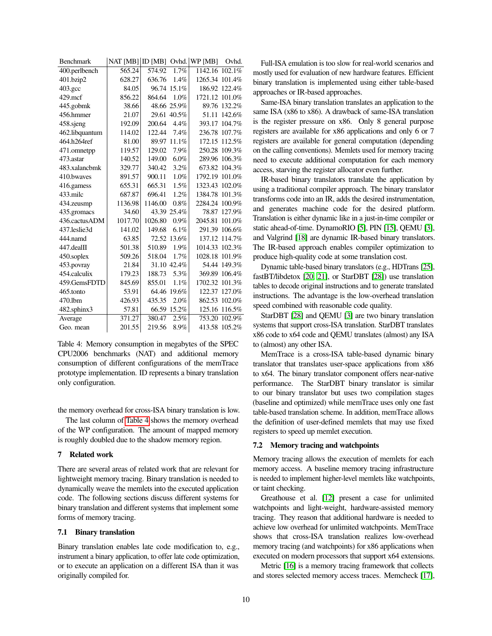| <b>Benchmark</b> | NAT [MB] ID [MB] |         |             | Ovhd. WP [MB] | Ovhd.  |
|------------------|------------------|---------|-------------|---------------|--------|
| 400.perlbench    | 565.24           | 574.92  | 1.7%        | 1142.16       | 102.1% |
| 401.bzip2        | 628.27           | 636.76  | 1.4%        | 1265.34       | 101.4% |
| $403.\text{gcc}$ | 84.05            | 96.74   | 15.1%       | 186.92        | 122.4% |
| $429$ .mcf       | 856.22           | 864.64  | 1.0%        | 1721.12       | 101.0% |
| 445.gobmk        | 38.66            |         | 48.66 25.9% | 89.76         | 132.2% |
| 456.hmmer        | 21.07            | 29.61   | 40.5%       | 51.11         | 142.6% |
| 458.sjeng        | 192.09           | 200.64  | 4.4%        | 393.17        | 104.7% |
| 462.libquantum   | 114.02           | 122.44  | 7.4%        | 236.78        | 107.7% |
| 464.h264ref      | 81.00            | 89.97   | 11.1%       | 172.15        | 112.5% |
| 471.omnetpp      | 119.57           | 129.02  | 7.9%        | 250.28        | 109.3% |
| 473.astar        | 140.52           | 149.00  | 6.0%        | 289.96        | 106.3% |
| 483.xalancbmk    | 329.77           | 340.42  | 3.2%        | 673.82        | 104.3% |
| 410.bwayes       | 891.57           | 900.11  | 1.0%        | 1792.19       | 101.0% |
| 416.gamess       | 655.31           | 665.31  | 1.5%        | 1323.43       | 102.0% |
| 433.milc         | 687.87           | 696.41  | 1.2%        | 1384.78       | 101.3% |
| 434.zeusmp       | 1136.98          | 1146.00 | $0.8\%$     | 2284.24       | 100.9% |
| 435.gromacs      | 34.60            |         | 43.39 25.4% | 78.87         | 127.9% |
| 436.cactusADM    | 1017.70          | 1026.80 | $0.9\%$     | 2045.81       | 101.0% |
| 437.leslie3d     | 141.02           | 149.68  | 6.1%        | 291.39        | 106.6% |
| 444.namd         | 63.85            | 72.52   | 13.6%       | 137.12        | 114.7% |
| 447.dealII       | 501.38           | 510.89  | 1.9%        | 1014.33       | 102.3% |
| 450.soplex       | 509.26           | 518.04  | 1.7%        | 1028.18       | 101.9% |
| 453.povray       | 21.84            |         | 31.10 42.4% | 54.44         | 149.3% |
| 454.calculix     | 179.23           | 188.73  | 5.3%        | 369.89        | 106.4% |
| 459.GemsFDTD     | 845.69           | 855.01  | 1.1%        | 1702.32       | 101.3% |
| 465.tonto        | 53.91            | 64.46   | 19.6%       | 122.37        | 127.0% |
| 470.1bm          | 426.93           | 435.35  | 2.0%        | 862.53        | 102.0% |
| 482.sphinx3      | 57.81            | 66.59   | 15.2%       | 125.16        | 116.5% |
| Average          | 371.27           | 380.47  | 2.5%        | 753.20        | 102.9% |
| Geo. mean        | 201.55           | 219.56  | 8.9%        | 413.58        | 105.2% |

<span id="page-9-1"></span>Table 4: Memory consumption in megabytes of the SPEC CPU2006 benchmarks (NAT) and additional memory consumption of different configurations of the memTrace prototype implementation. ID represents a binary translation only configuration.

the memory overhead for cross-ISA binary translation is low.

The last column of [Table 4](#page-9-1) shows the memory overhead of the WP configuration. The amount of mapped memory is roughly doubled due to the shadow memory region.

## <span id="page-9-0"></span>7 Related work

There are several areas of related work that are relevant for lightweight memory tracing. Binary translation is needed to dynamically weave the memlets into the executed application code. The following sections discuss different systems for binary translation and different systems that implement some forms of memory tracing.

## 7.1 Binary translation

Binary translation enables late code modification to, e.g., instrument a binary application, to offer late code optimization, or to execute an application on a different ISA than it was originally compiled for.

Full-ISA emulation is too slow for real-world scenarios and mostly used for evaluation of new hardware features. Efficient binary translation is implemented using either table-based approaches or IR-based approaches.

Same-ISA binary translation translates an application to the same ISA (x86 to x86). A drawback of same-ISA translation is the register pressure on x86. Only 8 general purpose registers are available for x86 applications and only 6 or 7 registers are available for general computation (depending on the calling conventions). Memlets used for memory tracing need to execute additional computation for each memory access, starving the register allocator even further.

IR-based binary translators translate the application by using a traditional compiler approach. The binary translator transforms code into an IR, adds the desired instrumentation, and generates machine code for the desired platform. Translation is either dynamic like in a just-in-time compiler or static ahead-of-time. DynamoRIO [\[5\]](#page-11-15), PIN [\[15\]](#page-11-6), QEMU [\[3\]](#page-11-16), and Valgrind [\[18\]](#page-11-0) are dynamic IR-based binary translators. The IR-based approach enables compiler optimization to produce high-quality code at some translation cost.

Dynamic table-based binary translators (e.g., HDTrans [\[25\]](#page-11-17), fastBT/libdetox [\[20,](#page-11-18) [21\]](#page-11-12), or StarDBT [\[28\]](#page-11-19)) use translation tables to decode original instructions and to generate translated instructions. The advantage is the low-overhead translation speed combined with reasonable code quality.

StarDBT [\[28\]](#page-11-19) and QEMU [\[3\]](#page-11-16) are two binary translation systems that support cross-ISA translation. StarDBT translates x86 code to x64 code and QEMU translates (almost) any ISA to (almost) any other ISA.

MemTrace is a cross-ISA table-based dynamic binary translator that translates user-space applications from x86 to x64. The binary translator component offers near-native performance. The StarDBT binary translator is similar to our binary translator but uses two compilation stages (baseline and optimized) while memTrace uses only one fast table-based translation scheme. In addition, memTrace allows the definition of user-defined memlets that may use fixed registers to speed up memlet execution.

#### 7.2 Memory tracing and watchpoints

Memory tracing allows the execution of memlets for each memory access. A baseline memory tracing infrastructure is needed to implement higher-level memlets like watchpoints, or taint checking.

Greathouse et al. [\[12\]](#page-11-7) present a case for unlimited watchpoints and light-weight, hardware-assisted memory tracing. They reason that additional hardware is needed to achieve low overhead for unlimited watchpoints. MemTrace shows that cross-ISA translation realizes low-overhead memory tracing (and watchpoints) for x86 applications when executed on modern processors that support x64 extensions.

Metric [\[16\]](#page-11-20) is a memory tracing framework that collects and stores selected memory access traces. Memcheck [\[17\]](#page-11-21),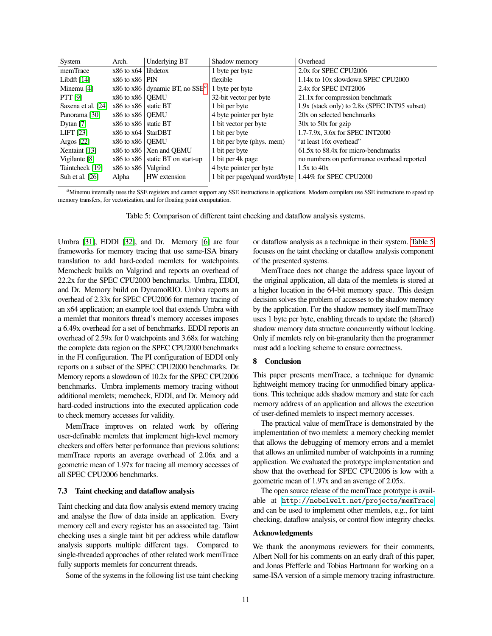| System                | Arch.                    | Underlying BT                              | Shadow memory                                          | Overhead                                      |
|-----------------------|--------------------------|--------------------------------------------|--------------------------------------------------------|-----------------------------------------------|
| memTrace              | $x86$ to $x64$ libdetox  |                                            | 1 byte per byte                                        | 2.0x for SPEC CPU2006                         |
| Libdft $[14]$         | $x86$ to $x86$ PIN       |                                            | flexible                                               | 1.14x to 10x slowdown SPEC CPU2000            |
| Minemu <sup>[4]</sup> |                          | x86 to x86 dynamic BT, no SSE <sup>a</sup> | 1 byte per byte                                        | 2.4x for SPEC INT2006                         |
| <b>PTT</b> [9]        | $x86$ to $x86$ OEMU      |                                            | 32-bit vector per byte                                 | 21.1x for compression benchmark               |
| Saxena et al. [24]    | $x86$ to $x86$ static BT |                                            | 1 bit per byte                                         | 1.9x (stack only) to 2.8x (SPEC INT95 subset) |
| Panorama [30]         | $x86$ to $x86$ OEMU      |                                            | 4 byte pointer per byte                                | 20x on selected benchmarks                    |
| Dytan [7]             | $x86$ to $x86$ static BT |                                            | 1 bit vector per byte                                  | $30x$ to $50x$ for gzip                       |
| <b>LIFT</b> [23]      | $x86$ to $x64$ StarDBT   |                                            | 1 bit per byte                                         | 1.7-7.9x, 3.6x for SPEC INT2000               |
| Argos $[22]$          | $x86$ to $x86$ OEMU      |                                            | 1 bit per byte (phys. mem)                             | "at least 16x overhead"                       |
| Xentaint [13]         |                          | $x86$ to $x86$   Xen and OEMU              | 1 bit per byte                                         | 61.5x to 88.4x for micro-benchmarks           |
| Vigilante [8]         |                          | $x86$ to $x86$ static BT on start-up       | 1 bit per 4k page                                      | no numbers on performance overhead reported   |
| Taintcheck [19]       | $x86$ to $x86$ Valgrind  |                                            | 4 byte pointer per byte                                | $1.5x$ to $40x$                               |
| Suh et al. [26]       | Alpha                    | HW extension                               | 1 bit per page/quad word/byte   1.44% for SPEC CPU2000 |                                               |

<span id="page-10-1"></span>*a*Minemu internally uses the SSE registers and cannot support any SSE instructions in applications. Modern compilers use SSE instructions to speed up memory transfers, for vectorization, and for floating point computation.

<span id="page-10-2"></span>Table 5: Comparison of different taint checking and dataflow analysis systems.

Umbra [\[31\]](#page-11-29), EDDI [\[32\]](#page-11-30), and Dr. Memory [\[6\]](#page-11-31) are four frameworks for memory tracing that use same-ISA binary translation to add hard-coded memlets for watchpoints. Memcheck builds on Valgrind and reports an overhead of 22.2x for the SPEC CPU2000 benchmarks. Umbra, EDDI, and Dr. Memory build on DynamoRIO. Umbra reports an overhead of 2.33x for SPEC CPU2006 for memory tracing of an x64 application; an example tool that extends Umbra with a memlet that monitors thread's memory accesses imposes a 6.49x overhead for a set of benchmarks. EDDI reports an overhead of 2.59x for 0 watchpoints and 3.68x for watching the complete data region on the SPEC CPU2000 benchmarks in the FI configuration. The PI configuration of EDDI only reports on a subset of the SPEC CPU2000 benchmarks. Dr. Memory reports a slowdown of 10.2x for the SPEC CPU2006 benchmarks. Umbra implements memory tracing without additional memlets; memcheck, EDDI, and Dr. Memory add hard-coded instructions into the executed application code to check memory accesses for validity.

MemTrace improves on related work by offering user-definable memlets that implement high-level memory checkers and offers better performance than previous solutions: memTrace reports an average overhead of 2.06x and a geometric mean of 1.97x for tracing all memory accesses of all SPEC CPU2006 benchmarks.

#### 7.3 Taint checking and dataflow analysis

Taint checking and data flow analysis extend memory tracing and analyse the flow of data inside an application. Every memory cell and every register has an associated tag. Taint checking uses a single taint bit per address while dataflow analysis supports multiple different tags. Compared to single-threaded approaches of other related work memTrace fully supports memlets for concurrent threads.

Some of the systems in the following list use taint checking

or dataflow analysis as a technique in their system. [Table 5](#page-10-2) focuses on the taint checking or dataflow analysis component of the presented systems.

MemTrace does not change the address space layout of the original application, all data of the memlets is stored at a higher location in the 64-bit memory space. This design decision solves the problem of accesses to the shadow memory by the application. For the shadow memory itself memTrace uses 1 byte per byte, enabling threads to update the (shared) shadow memory data structure concurrently without locking. Only if memlets rely on bit-granularity then the programmer must add a locking scheme to ensure correctness.

## <span id="page-10-0"></span>8 Conclusion

This paper presents memTrace, a technique for dynamic lightweight memory tracing for unmodified binary applications. This technique adds shadow memory and state for each memory address of an application and allows the execution of user-defined memlets to inspect memory accesses.

The practical value of memTrace is demonstrated by the implementation of two memlets: a memory checking memlet that allows the debugging of memory errors and a memlet that allows an unlimited number of watchpoints in a running application. We evaluated the prototype implementation and show that the overhead for SPEC CPU2006 is low with a geometric mean of 1.97x and an average of 2.05x.

The open source release of the memTrace prototype is available at <http://nebelwelt.net/projects/memTrace> and can be used to implement other memlets, e.g., for taint checking, dataflow analysis, or control flow integrity checks.

## Acknowledgments

We thank the anonymous reviewers for their comments, Albert Noll for his comments on an early draft of this paper, and Jonas Pfefferle and Tobias Hartmann for working on a same-ISA version of a simple memory tracing infrastructure.